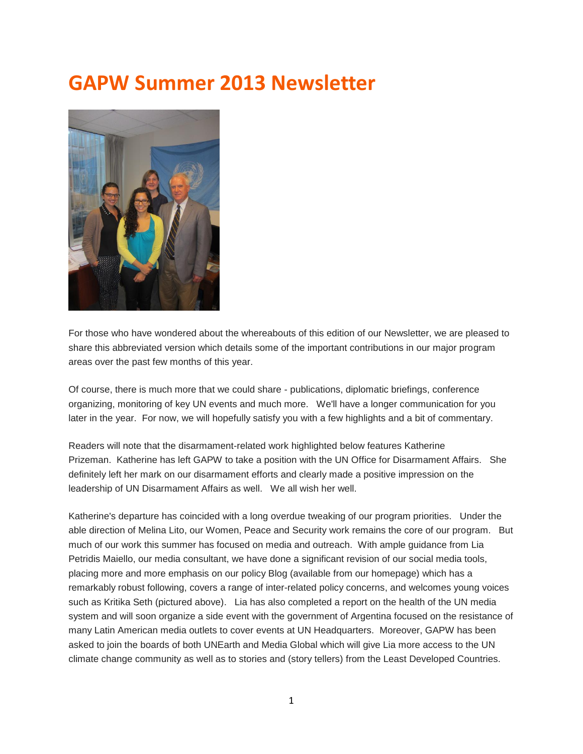# **GAPW Summer 2013 Newsletter**



For those who have wondered about the whereabouts of this edition of our Newsletter, we are pleased to share this abbreviated version which details some of the important contributions in our major program areas over the past few months of this year.

Of course, there is much more that we could share - publications, diplomatic briefings, conference organizing, monitoring of key UN events and much more. We'll have a longer communication for you later in the year. For now, we will hopefully satisfy you with a few highlights and a bit of commentary.

Readers will note that the disarmament-related work highlighted below features Katherine Prizeman. Katherine has left GAPW to take a position with the UN Office for Disarmament Affairs. She definitely left her mark on our disarmament efforts and clearly made a positive impression on the leadership of UN Disarmament Affairs as well. We all wish her well.

Katherine's departure has coincided with a long overdue tweaking of our program priorities. Under the able direction of Melina Lito, our Women, Peace and Security work remains the core of our program. But much of our work this summer has focused on media and outreach. With ample guidance from Lia Petridis Maiello, our media consultant, we have done a significant revision of our social media tools, placing more and more emphasis on our policy Blog (available from our homepage) which has a remarkably robust following, covers a range of inter-related policy concerns, and welcomes young voices such as Kritika Seth (pictured above). Lia has also completed a report on the health of the UN media system and will soon organize a side event with the government of Argentina focused on the resistance of many Latin American media outlets to cover events at UN Headquarters. Moreover, GAPW has been asked to join the boards of both UNEarth and Media Global which will give Lia more access to the UN climate change community as well as to stories and (story tellers) from the Least Developed Countries.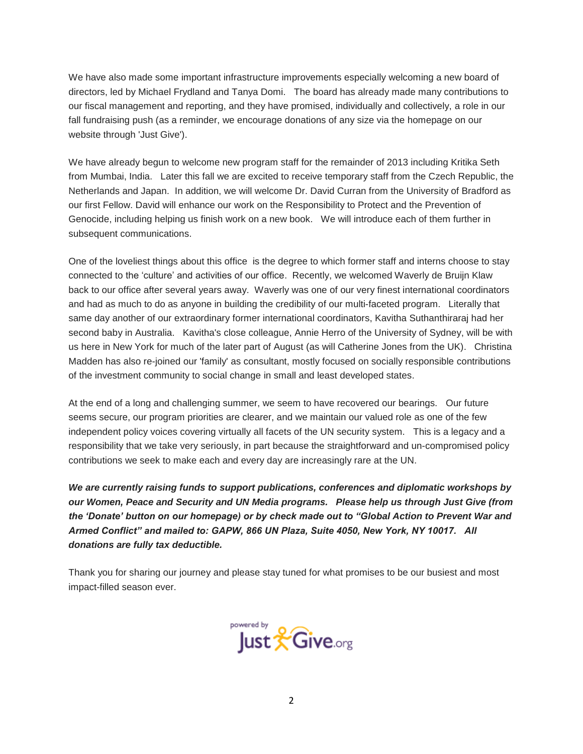We have also made some important infrastructure improvements especially welcoming a new board of directors, led by Michael Frydland and Tanya Domi. The board has already made many contributions to our fiscal management and reporting, and they have promised, individually and collectively, a role in our fall fundraising push (as a reminder, we encourage donations of any size via the homepage on our website through 'Just Give').

We have already begun to welcome new program staff for the remainder of 2013 including Kritika Seth from Mumbai, India. Later this fall we are excited to receive temporary staff from the Czech Republic, the Netherlands and Japan. In addition, we will welcome Dr. David Curran from the University of Bradford as our first Fellow. David will enhance our work on the Responsibility to Protect and the Prevention of Genocide, including helping us finish work on a new book. We will introduce each of them further in subsequent communications.

One of the loveliest things about this office is the degree to which former staff and interns choose to stay connected to the 'culture' and activities of our office. Recently, we welcomed Waverly de Bruijn Klaw back to our office after several years away. Waverly was one of our very finest international coordinators and had as much to do as anyone in building the credibility of our multi-faceted program. Literally that same day another of our extraordinary former international coordinators, Kavitha Suthanthiraraj had her second baby in Australia. Kavitha's close colleague, Annie Herro of the University of Sydney, will be with us here in New York for much of the later part of August (as will Catherine Jones from the UK). Christina Madden has also re-joined our 'family' as consultant, mostly focused on socially responsible contributions of the investment community to social change in small and least developed states.

At the end of a long and challenging summer, we seem to have recovered our bearings. Our future seems secure, our program priorities are clearer, and we maintain our valued role as one of the few independent policy voices covering virtually all facets of the UN security system. This is a legacy and a responsibility that we take very seriously, in part because the straightforward and un-compromised policy contributions we seek to make each and every day are increasingly rare at the UN.

*We are currently raising funds to support publications, conferences and diplomatic workshops by our Women, Peace and Security and UN Media programs. Please help us through Just Give (from the 'Donate' button on our homepage) or by check made out to "Global Action to Prevent War and Armed Conflict" and mailed to: GAPW, 866 UN Plaza, Suite 4050, New York, NY 10017. All donations are fully tax deductible.* 

Thank you for sharing our journey and please stay tuned for what promises to be our busiest and most impact-filled season ever.

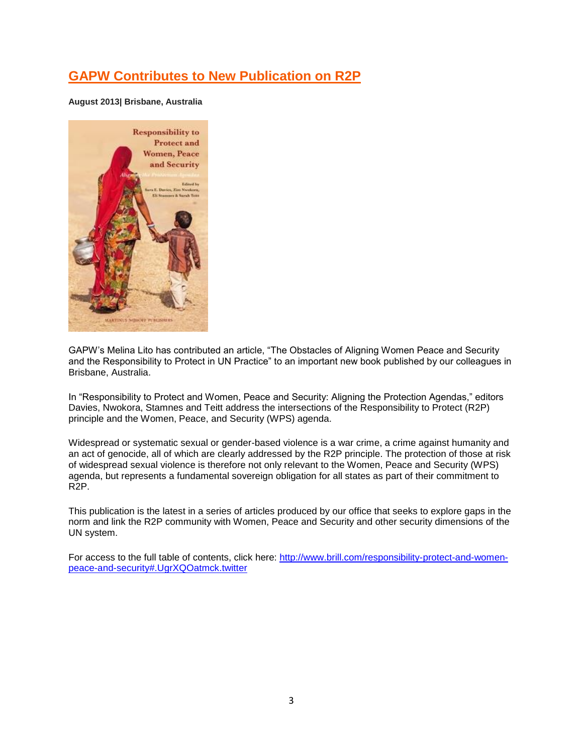# **GAPW Contributes to New Publication on R2P**

**August 2013| Brisbane, Australia**



GAPW's Melina Lito has contributed an article, "The Obstacles of Aligning Women Peace and Security and the Responsibility to Protect in UN Practice" to an important new book published by our colleagues in Brisbane, Australia.

In "Responsibility to Protect and Women, Peace and Security: Aligning the Protection Agendas," editors Davies, Nwokora, Stamnes and Teitt address the intersections of the Responsibility to Protect (R2P) principle and the Women, Peace, and Security (WPS) agenda.

Widespread or systematic sexual or gender-based violence is a war crime, a crime against humanity and an act of genocide, all of which are clearly addressed by the R2P principle. The protection of those at risk of widespread sexual violence is therefore not only relevant to the Women, Peace and Security (WPS) agenda, but represents a fundamental sovereign obligation for all states as part of their commitment to R2P.

This publication is the latest in a series of articles produced by our office that seeks to explore gaps in the norm and link the R2P community with Women, Peace and Security and other security dimensions of the UN system.

For access to the full table of contents, click here: [http://www.brill.com/responsibility-protect-and-women](http://www.brill.com/responsibility-protect-and-women-peace-and-security#.UgrXQOatmck.twitter)[peace-and-security#.UgrXQOatmck.twitter](http://www.brill.com/responsibility-protect-and-women-peace-and-security#.UgrXQOatmck.twitter)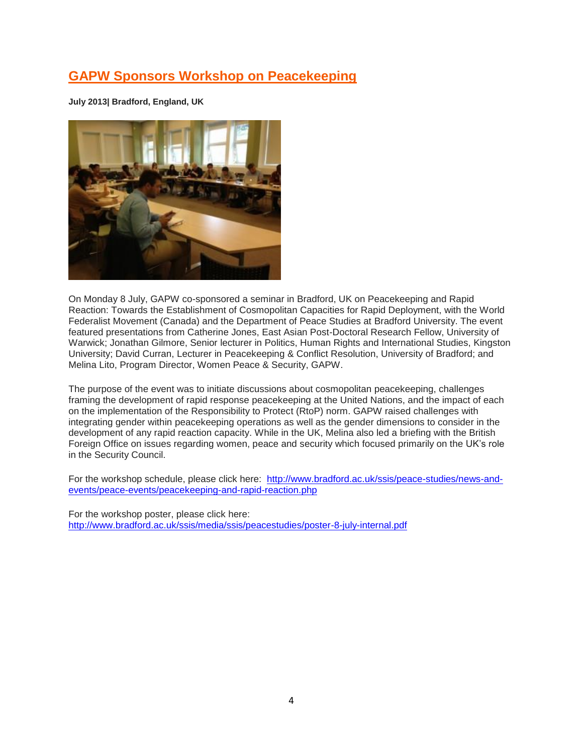### **[GAPW Sponsors Workshop on Peacekeeping](http://www.globalactionpw.org/?p=4257)**

**July 2013| Bradford, England, UK**



On Monday 8 July, GAPW co-sponsored a seminar in Bradford, UK on Peacekeeping and Rapid Reaction: Towards the Establishment of Cosmopolitan Capacities for Rapid Deployment, with the World Federalist Movement (Canada) and the Department of Peace Studies at Bradford University. The event featured presentations from Catherine Jones, East Asian Post-Doctoral Research Fellow, University of Warwick; Jonathan Gilmore, Senior lecturer in Politics, Human Rights and International Studies, Kingston University; David Curran, Lecturer in Peacekeeping & Conflict Resolution, University of Bradford; and Melina Lito, Program Director, Women Peace & Security, GAPW.

The purpose of the event was to initiate discussions about cosmopolitan peacekeeping, challenges framing the development of rapid response peacekeeping at the United Nations, and the impact of each on the implementation of the Responsibility to Protect (RtoP) norm. GAPW raised challenges with integrating gender within peacekeeping operations as well as the gender dimensions to consider in the development of any rapid reaction capacity. While in the UK, Melina also led a briefing with the British Foreign Office on issues regarding women, peace and security which focused primarily on the UK's role in the Security Council.

For the workshop schedule, please click here: [http://www.bradford.ac.uk/ssis/peace-studies/news-and](http://www.bradford.ac.uk/ssis/peace-studies/news-and-events/peace-events/peacekeeping-and-rapid-reaction.php)[events/peace-events/peacekeeping-and-rapid-reaction.php](http://www.bradford.ac.uk/ssis/peace-studies/news-and-events/peace-events/peacekeeping-and-rapid-reaction.php)

For the workshop poster, please click here: <http://www.bradford.ac.uk/ssis/media/ssis/peacestudies/poster-8-july-internal.pdf>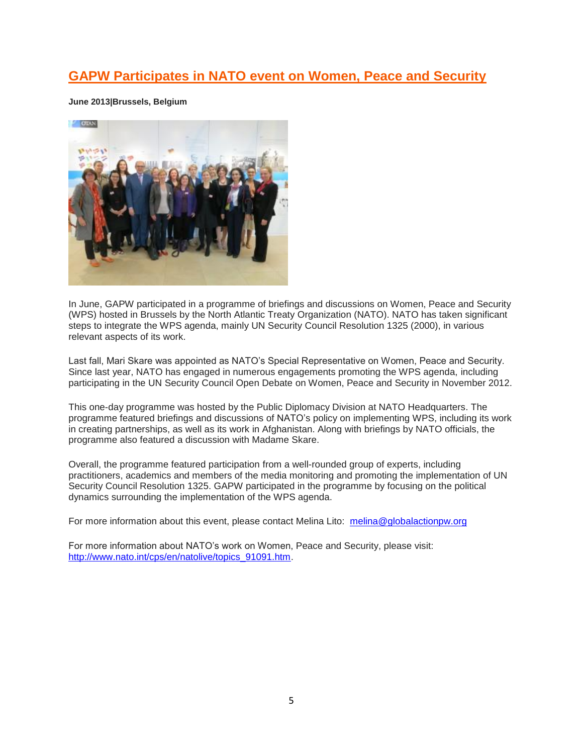### **[GAPW Participates in NATO event on Women, Peace and Security](http://www.globalactionpw.org/?p=4175)**

#### **June 2013|Brussels, Belgium**



In June, GAPW participated in a programme of briefings and discussions on Women, Peace and Security (WPS) hosted in Brussels by the North Atlantic Treaty Organization (NATO). NATO has taken significant steps to integrate the WPS agenda, mainly UN Security Council Resolution 1325 (2000), in various relevant aspects of its work.

Last fall, Mari Skare was appointed as NATO's Special Representative on Women, Peace and Security. Since last year, NATO has engaged in numerous engagements promoting the WPS agenda, including participating in the UN Security Council Open Debate on Women, Peace and Security in November 2012.

This one-day programme was hosted by the Public Diplomacy Division at NATO Headquarters. The programme featured briefings and discussions of NATO's policy on implementing WPS, including its work in creating partnerships, as well as its work in Afghanistan. Along with briefings by NATO officials, the programme also featured a discussion with Madame Skare.

Overall, the programme featured participation from a well-rounded group of experts, including practitioners, academics and members of the media monitoring and promoting the implementation of UN Security Council Resolution 1325. GAPW participated in the programme by focusing on the political dynamics surrounding the implementation of the WPS agenda.

For more information about this event, please contact Melina Lito: [melina@globalactionpw.org](mailto:melina@globalactionpw.org)

For more information about NATO's work on Women, Peace and Security, please visit: [http://www.nato.int/cps/en/natolive/topics\\_91091.htm.](http://www.nato.int/cps/en/natolive/topics_91091.htm)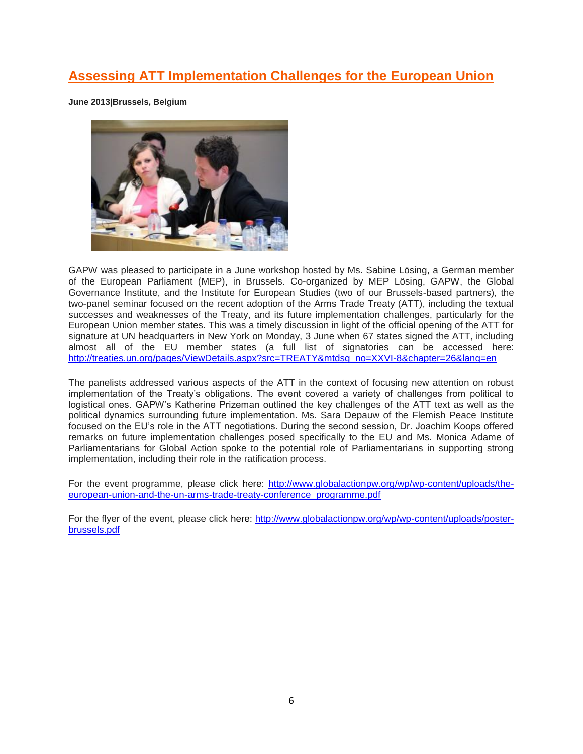# **[Assessing ATT Implementation Challenges for the European Union](http://www.globalactionpw.org/?p=4157)**

**June 2013|Brussels, Belgium**



GAPW was pleased to participate in a June workshop hosted by Ms. Sabine Lösing, a German member of the European Parliament (MEP), in Brussels. Co-organized by MEP Lösing, GAPW, the Global Governance Institute, and the Institute for European Studies (two of our Brussels-based partners), the two-panel seminar focused on the recent adoption of the Arms Trade Treaty (ATT), including the textual successes and weaknesses of the Treaty, and its future implementation challenges, particularly for the European Union member states. This was a timely discussion in light of the official opening of the ATT for signature at UN headquarters in New York on Monday, 3 June when 67 states signed the ATT, including almost all of the EU member states (a full list of signatories can be accessed here: [http://treaties.un.org/pages/ViewDetails.aspx?src=TREATY&mtdsg\\_no=XXVI-8&chapter=26&lang=en](http://treaties.un.org/pages/ViewDetails.aspx?src=TREATY&mtdsg_no=XXVI-8&chapter=26&lang=en) 

The panelists addressed various aspects of the ATT in the context of focusing new attention on robust implementation of the Treaty's obligations. The event covered a variety of challenges from political to logistical ones. GAPW's Katherine Prizeman outlined the key challenges of the ATT text as well as the political dynamics surrounding future implementation. Ms. Sara Depauw of the Flemish Peace Institute focused on the EU's role in the ATT negotiations. During the second session, Dr. Joachim Koops offered remarks on future implementation challenges posed specifically to the EU and Ms. Monica Adame of Parliamentarians for Global Action spoke to the potential role of Parliamentarians in supporting strong implementation, including their role in the ratification process.

For the event programme, please click here: [http://www.globalactionpw.org/wp/wp-content/uploads/the](http://www.globalactionpw.org/wp/wp-content/uploads/the-european-union-and-the-un-arms-trade-treaty-conference_programme.pdf)[european-union-and-the-un-arms-trade-treaty-conference\\_programme.pdf](http://www.globalactionpw.org/wp/wp-content/uploads/the-european-union-and-the-un-arms-trade-treaty-conference_programme.pdf)

For the flyer of the event, please click here: [http://www.globalactionpw.org/wp/wp-content/uploads/poster](http://www.globalactionpw.org/wp/wp-content/uploads/poster-brussels.pdf)[brussels.pdf](http://www.globalactionpw.org/wp/wp-content/uploads/poster-brussels.pdf)